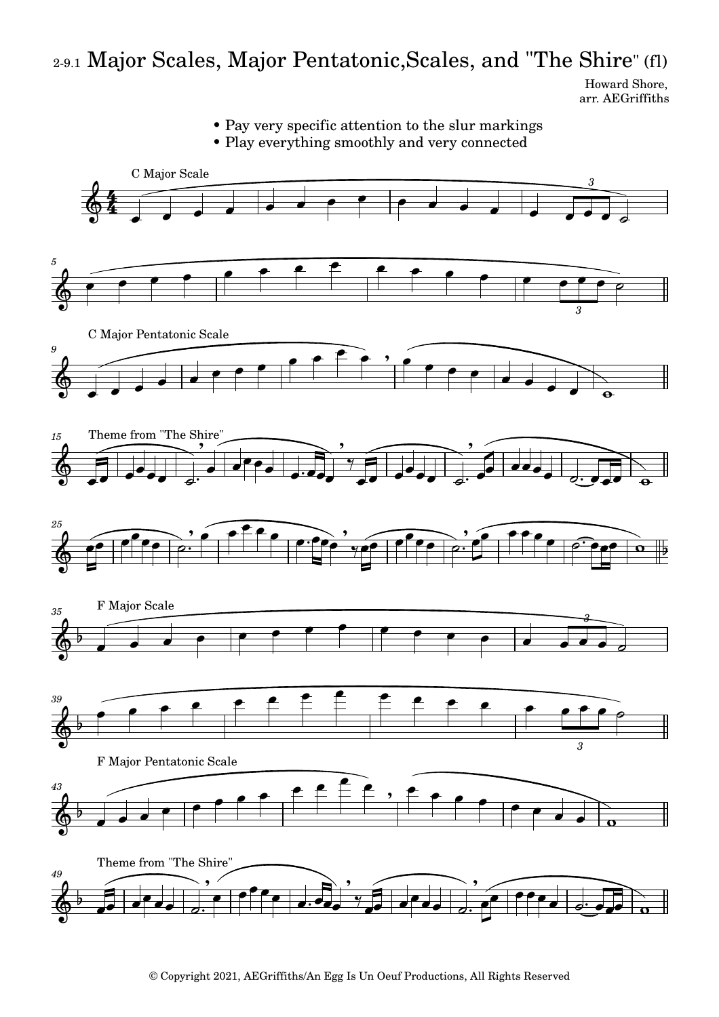## 2-9.1 Major Scales, Major Pentatonic,Scales, and "The Shire" (fl)

Howard Shore, arr. AEGriffiths



© Copyright 2021, AEGriffiths/An Egg Is Un Oeuf Productions, All Rights Reserved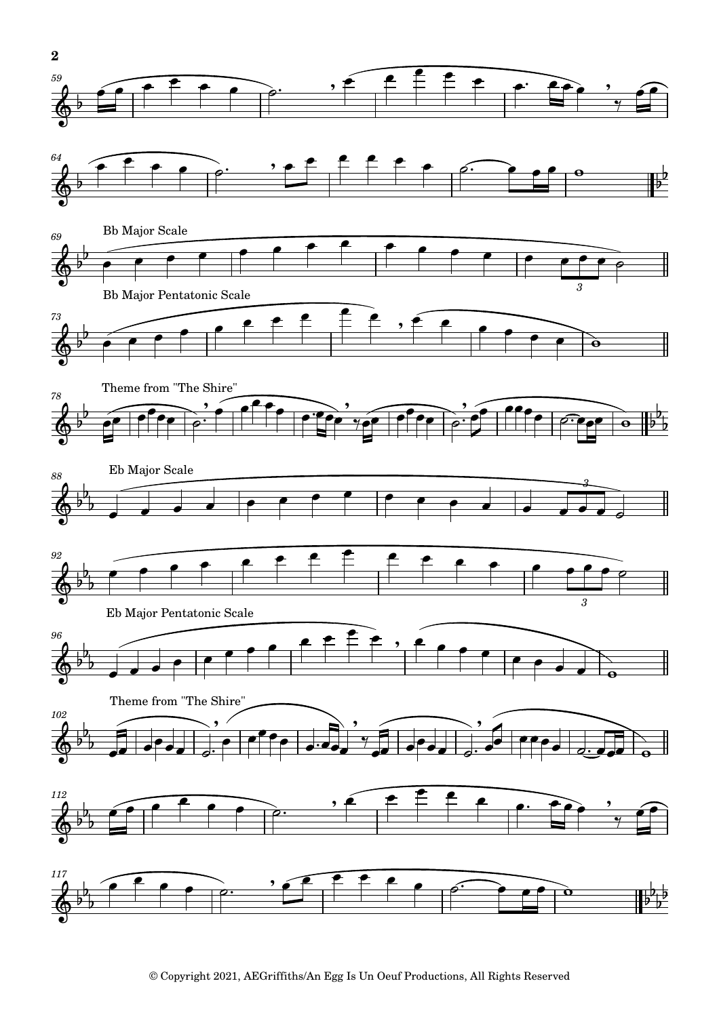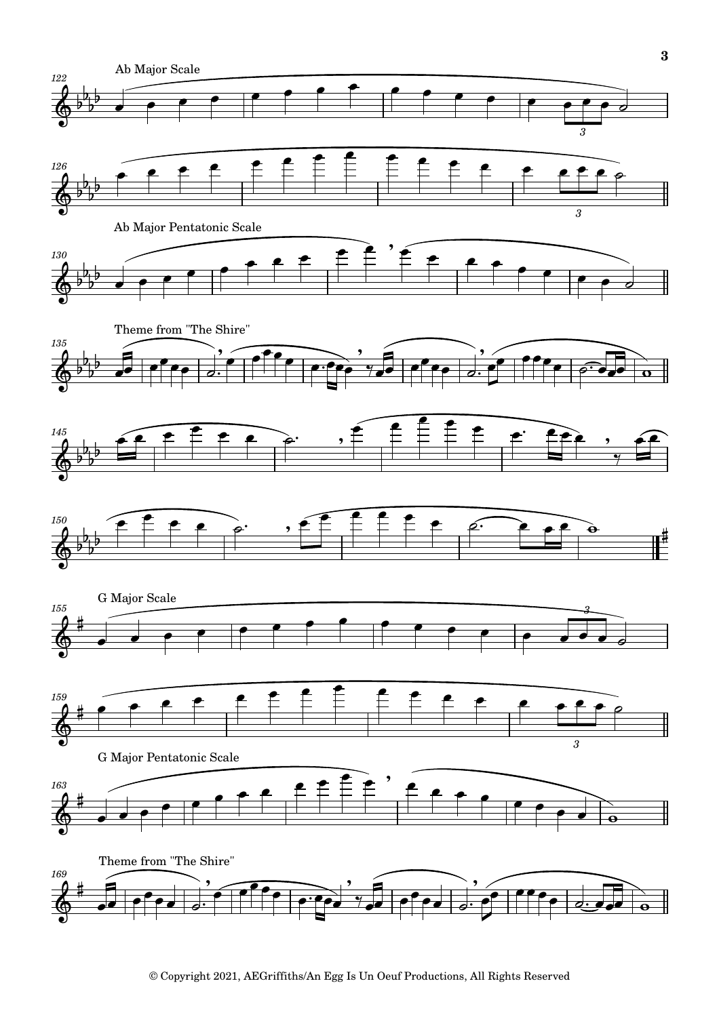

<sup>©</sup> Copyright 2021, AEGriffiths/An Egg Is Un Oeuf Productions, All Rights Reserved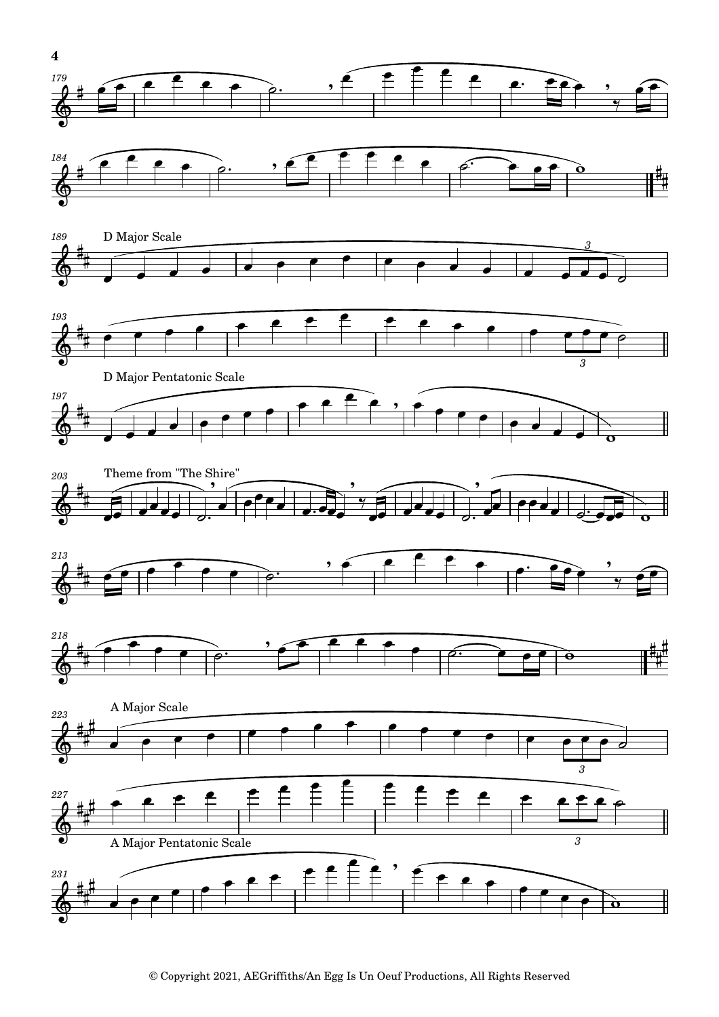

<sup>©</sup> Copyright 2021, AEGriffiths/An Egg Is Un Oeuf Productions, All Rights Reserved